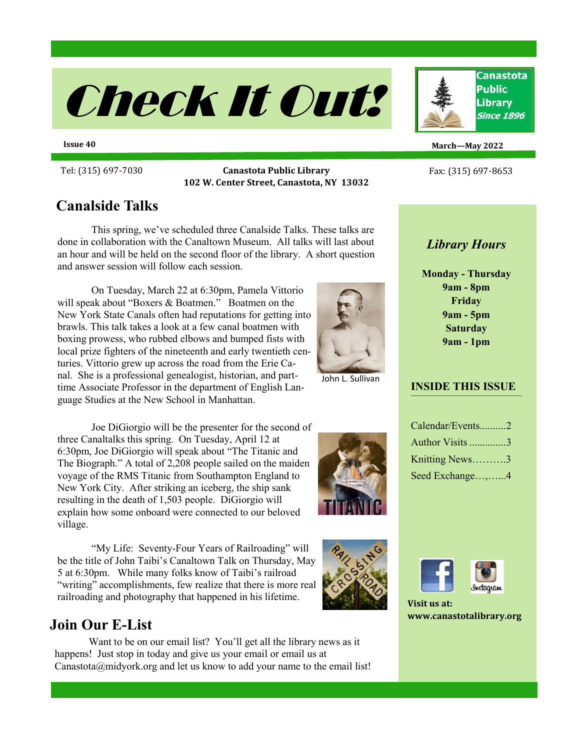

**Issue 40**

Tel: (315) 697-<sup>7030</sup> **Canastota Public Library** Fax: (315) 697-<sup>8653</sup> **102 W. Center Street, Canastota, NY 13032**

# **Canalside Talks**

This spring, we've scheduled three Canalside Talks. These talks are done in collaboration with the Canaltown Museum. All talks will last about an hour and will be held on the second floor of the library. A short question and answer session will follow each session.

On Tuesday, March 22 at 6:30pm, Pamela Vittorio will speak about "Boxers & Boatmen." Boatmen on the New York State Canals often had reputations for getting into brawls. This talk takes a look at a few canal boatmen with boxing prowess, who rubbed elbows and bumped fists with local prize fighters of the nineteenth and early twentieth centuries. Vittorio grew up across the road from the Erie Canal. She is a professional genealogist, historian, and parttime Associate Professor in the department of English Language Studies at the New School in Manhattan.

Joe DiGiorgio will be the presenter for the second of three Canaltalks this spring. On Tuesday, April 12 at 6:30pm, Joe DiGiorgio will speak about "The Titanic and The Biograph." A total of 2,208 people sailed on the maiden voyage of the RMS Titanic from Southampton England to New York City. After striking an iceberg, the ship sank resulting in the death of 1,503 people. DiGiorgio will explain how some onboard were connected to our beloved village.

"My Life: Seventy-Four Years of Railroading" will be the title of John Taibi's Canaltown Talk on Thursday, May 5 at 6:30pm. While many folks know of Taibi's railroad "writing" accomplishments, few realize that there is more real railroading and photography that happened in his lifetime.

# **Join Our E-List**

Want to be on our email list? You'll get all the library news as it happens! Just stop in today and give us your email or email us at Canastota@midyork.org and let us know to add your name to the email list!

**March—May 2022**

# *Library Hours*

**Monday - Thursday 9am - 8pm Friday 9am - 5pm Saturday 9am - 1pm** 

#### **INSIDE THIS ISSUE**

| Calendar/Events2 |  |
|------------------|--|
| Author Visits 3  |  |
| Knitting News3   |  |
| Seed Exchange,4  |  |





**Visit us at: www.canastotalibrary.org**



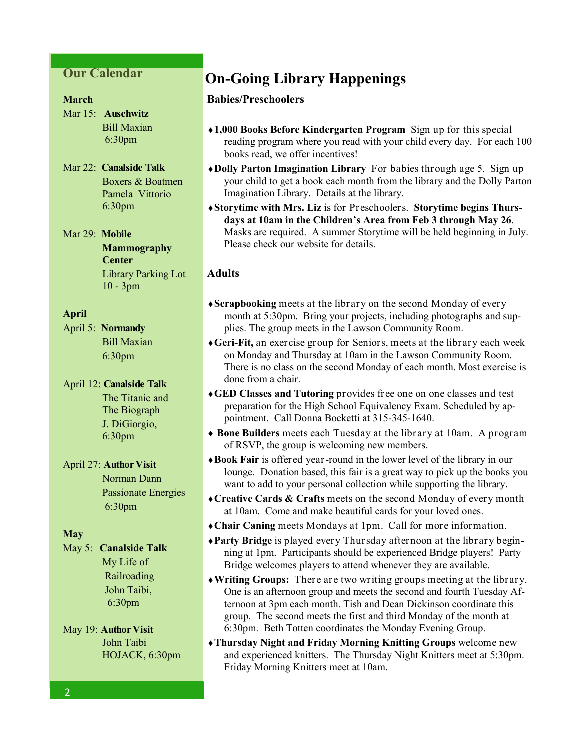#### **Our Calendar**

#### **March**

Mar 15: **Auschwitz** Bill Maxian 6:30pm

#### Mar 22: **Canalside Talk** Boxers & Boatmen Pamela Vittorio 6:30pm

Mar 29: **Mobile Mammography Center**  Library Parking Lot 10 - 3pm

#### **April**

April 5: **Normandy** Bill Maxian 6:30pm

April 12: **Canalside Talk** The Titanic and The Biograph J. DiGiorgio, 6:30pm

#### April 27: **Author Visit**

 Norman Dann Passionate Energies 6:30pm

#### **May**

May 5: **Canalside Talk** My Life of RailroadingJohn Taibi, 6:30pm

#### May 19: **Author Visit** John Taibi HOJACK, 6:30pm

# **On-Going Library Happenings**

#### **Babies/Preschoolers**

- **1,000 Books Before Kindergarten Program** Sign up for this special reading program where you read with your child every day. For each 100 books read, we offer incentives!
- **Dolly Parton Imagination Library** For babies through age 5. Sign up your child to get a book each month from the library and the Dolly Parton Imagination Library. Details at the library.
- **Storytime with Mrs. Liz** is for Preschoolers. **Storytime begins Thursdays at 10am in the Children's Area from Feb 3 through May 26**. Masks are required. A summer Storytime will be held beginning in July. Please check our website for details.

#### **Adults**

- **Scrapbooking** meets at the library on the second Monday of every month at 5:30pm. Bring your projects, including photographs and supplies. The group meets in the Lawson Community Room.
- **Geri-Fit,** an exercise group for Seniors, meets at the library each week on Monday and Thursday at 10am in the Lawson Community Room. There is no class on the second Monday of each month. Most exercise is done from a chair.
- **GED Classes and Tutoring** provides free one on one classes and test preparation for the High School Equivalency Exam. Scheduled by appointment. Call Donna Bocketti at 315-345-1640.
- **Bone Builders** meets each Tuesday at the library at 10am. A program of RSVP, the group is welcoming new members.
- **Book Fair** is offered year-round in the lower level of the library in our lounge. Donation based, this fair is a great way to pick up the books you want to add to your personal collection while supporting the library.
- **Creative Cards & Crafts** meets on the second Monday of every month at 10am. Come and make beautiful cards for your loved ones.
- **Chair Caning** meets Mondays at 1pm. Call for more information.
- **Party Bridge** is played every Thursday afternoon at the library beginning at 1pm. Participants should be experienced Bridge players! Party Bridge welcomes players to attend whenever they are available.
- **Writing Groups:** There are two writing groups meeting at the library. One is an afternoon group and meets the second and fourth Tuesday Afternoon at 3pm each month. Tish and Dean Dickinson coordinate this group. The second meets the first and third Monday of the month at 6:30pm. Beth Totten coordinates the Monday Evening Group.
- **Thursday Night and Friday Morning Knitting Groups** welcome new and experienced knitters. The Thursday Night Knitters meet at 5:30pm. Friday Morning Knitters meet at 10am.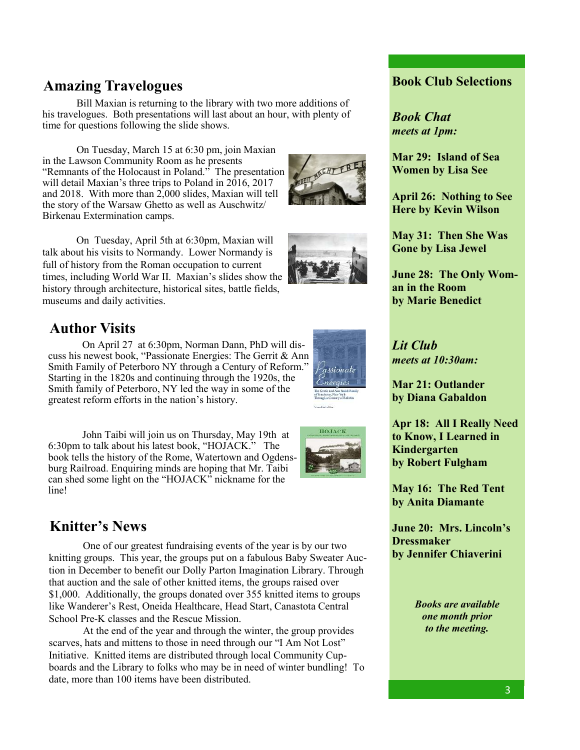# **Amazing Travelogues Book Club Selections**

Bill Maxian is returning to the library with two more additions of his travelogues. Both presentations will last about an hour, with plenty of time for questions following the slide shows.

On Tuesday, March 15 at 6:30 pm, join Maxian in the Lawson Community Room as he presents "Remnants of the Holocaust in Poland." The presentation will detail Maxian's three trips to Poland in  $2016$ ,  $2017$ and 2018. With more than 2,000 slides, Maxian will tell the story of the Warsaw Ghetto as well as Auschwitz/ Birkenau Extermination camps.



# **Author Visits**

On April 27 at 6:30pm, Norman Dann, PhD will discuss his newest book, "Passionate Energies: The Gerrit & Ann Smith Family of Peterboro NY through a Century of Reform." Starting in the 1820s and continuing through the 1920s, the Smith family of Peterboro, NY led the way in some of the greatest reform efforts in the nation's history. Ì

'assionat

John Taibi will join us on Thursday, May 19th at 6:30pm to talk about his latest book, "HOJACK." The book tells the history of the Rome, Watertown and Ogdensburg Railroad. Enquiring minds are hoping that Mr. Taibi can shed some light on the "HOJACK" nickname for the line!

# **Knitter's News**

One of our greatest fundraising events of the year is by our two knitting groups. This year, the groups put on a fabulous Baby Sweater Auction in December to benefit our Dolly Parton Imagination Library. Through that auction and the sale of other knitted items, the groups raised over \$1,000. Additionally, the groups donated over 355 knitted items to groups like Wanderer's Rest, Oneida Healthcare, Head Start, Canastota Central School Pre-K classes and the Rescue Mission.

At the end of the year and through the winter, the group provides scarves, hats and mittens to those in need through our "I Am Not Lost" Initiative. Knitted items are distributed through local Community Cupboards and the Library to folks who may be in need of winter bundling! To date, more than 100 items have been distributed.

*Book Chat meets at 1pm:*

**Mar 29: Island of Sea Women by Lisa See**

**April 26: Nothing to See Here by Kevin Wilson**

**May 31: Then She Was Gone by Lisa Jewel**

**June 28: The Only Woman in the Room by Marie Benedict** 

*Lit Club meets at 10:30am:*

**Mar 21: Outlander by Diana Gabaldon**

**Apr 18: All I Really Need to Know, I Learned in Kindergarten by Robert Fulgham**

**May 16: The Red Tent by Anita Diamante**

**June 20: Mrs. Lincoln's Dressmaker by Jennifer Chiaverini**

> *Books are available one month prior to the meeting.*